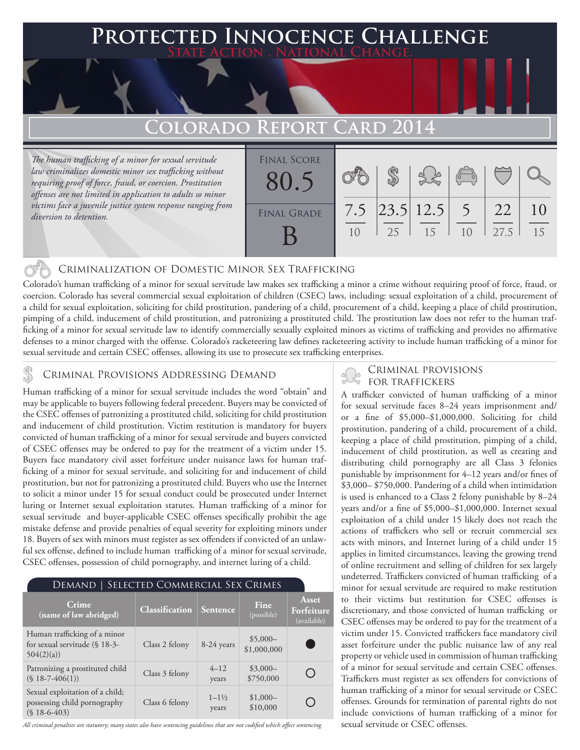### **PTED INNOCENCE CHALLENGE State Action . National Change.**

# **Colorado Report Card 2014**

*The human trafficking of a minor for sexual servitude law criminalizes domestic minor sex trafficking without requiring proof of force, fraud, or coercion. Prostitution offenses are not limited in application to adults so minor victims face a juvenile justice system response ranging from diversion to detention.*

| <b>FINAL SCORE</b> |     |    |                              |                                                |      |    |
|--------------------|-----|----|------------------------------|------------------------------------------------|------|----|
|                    |     |    | 38                           | $\begin{pmatrix} 0 & 0 \\ 0 & 0 \end{pmatrix}$ |      |    |
| 80.5               |     |    |                              |                                                |      |    |
|                    |     |    |                              |                                                |      |    |
| <b>FINAL GRADE</b> | 7.5 |    | $\left  23.5 \right  12.5$ 5 |                                                | 22   |    |
|                    |     | 25 | 15                           | 10                                             | 27.5 | 15 |
|                    |     |    |                              |                                                |      |    |
|                    |     |    |                              |                                                |      |    |

### Criminalization of Domestic Minor Sex Trafficking

Colorado's human trafficking of a minor for sexual servitude law makes sex trafficking a minor a crime without requiring proof of force, fraud, or coercion. Colorado has several commercial sexual exploitation of children (CSEC) laws, including: sexual exploitation of a child, procurement of a child for sexual exploitation, soliciting for child prostitution, pandering of a child, procurement of a child, keeping a place of child prostitution, pimping of a child, inducement of child prostitution, and patronizing a prostituted child. The prostitution law does not refer to the human trafficking of a minor for sexual servitude law to identify commercially sexually exploited minors as victims of trafficking and provides no affirmative defenses to a minor charged with the offense. Colorado's racketeering law defines racketeering activity to include human trafficking of a minor for sexual servitude and certain CSEC offenses, allowing its use to prosecute sex trafficking enterprises.

### CRIMINAL PROVISIONS ADDRESSING DEMAND

Human trafficking of a minor for sexual servitude includes the word "obtain" and may be applicable to buyers following federal precedent. Buyers may be convicted of the CSEC offenses of patronizing a prostituted child, soliciting for child prostitution and inducement of child prostitution. Victim restitution is mandatory for buyers convicted of human trafficking of a minor for sexual servitude and buyers convicted of CSEC offenses may be ordered to pay for the treatment of a victim under 15. Buyers face mandatory civil asset forfeiture under nuisance laws for human trafficking of a minor for sexual servitude, and soliciting for and inducement of child prostitution, but not for patronizing a prostituted child. Buyers who use the Internet to solicit a minor under 15 for sexual conduct could be prosecuted under Internet luring or Internet sexual exploitation statutes. Human trafficking of a minor for sexual servitude and buyer-applicable CSEC offenses specifically prohibit the age mistake defense and provide penalties of equal severity for exploiting minors under 18. Buyers of sex with minors must register as sex offenders if convicted of an unlawful sex offense, defined to include human trafficking of a minor for sexual servitude, CSEC offenses, possession of child pornography, and internet luring of a child.

| SELECTED COMMERCIAL SEX CRIMES<br>Demand                                         |                |                             |                          |                                    |  |  |  |
|----------------------------------------------------------------------------------|----------------|-----------------------------|--------------------------|------------------------------------|--|--|--|
| Crime<br>(name of law abridged)                                                  | Classification | Sentence                    | Fine<br>(possible)       | Asset<br>Forfeiture<br>(available) |  |  |  |
| Human trafficking of a minor<br>for sexual servitude (§ 18-3-<br>504(2)(a)       | Class 2 felony | 8-24 years                  | $$5,000-$<br>\$1,000,000 |                                    |  |  |  |
| Patronizing a prostituted child<br>$(S 18 - 7 - 406(1))$                         | Class 3 felony | $4 - 12$<br>years           | $$3,000-$<br>\$750,000   |                                    |  |  |  |
| Sexual exploitation of a child;<br>possessing child pornography<br>$($18-6-403)$ | Class 6 felony | $1 - 1\frac{1}{2}$<br>years | $$1,000-$<br>\$10,000    |                                    |  |  |  |

*All criminal penalties are statutory; many states also have sentencing guidelines that are not codified which affect sentencing.* 

# Criminal provisions

A trafficker convicted of human trafficking of a minor for sexual servitude faces 8–24 years imprisonment and/ or a fine of \$5,000–\$1,000,000. Soliciting for child prostitution, pandering of a child, procurement of a child, keeping a place of child prostitution, pimping of a child, inducement of child prostitution, as well as creating and distributing child pornography are all Class 3 felonies punishable by imprisonment for 4–12 years and/or fines of \$3,000– \$750,000. Pandering of a child when intimidation is used is enhanced to a Class 2 felony punishable by 8–24 years and/or a fine of \$5,000–\$1,000,000. Internet sexual exploitation of a child under 15 likely does not reach the actions of traffickers who sell or recruit commercial sex acts with minors, and Internet luring of a child under 15 applies in limited circumstances, leaving the growing trend of online recruitment and selling of children for sex largely undeterred. Traffickers convicted of human trafficking of a minor for sexual servitude are required to make restitution to their victims but restitution for CSEC offenses is discretionary, and those convicted of human trafficking or CSEC offenses may be ordered to pay for the treatment of a victim under 15. Convicted traffickers face mandatory civil asset forfeiture under the public nuisance law of any real property or vehicle used in commission of human trafficking of a minor for sexual servitude and certain CSEC offenses. Traffickers must register as sex offenders for convictions of human trafficking of a minor for sexual servitude or CSEC offenses. Grounds for termination of parental rights do not include convictions of human trafficking of a minor for sexual servitude or CSEC offenses.